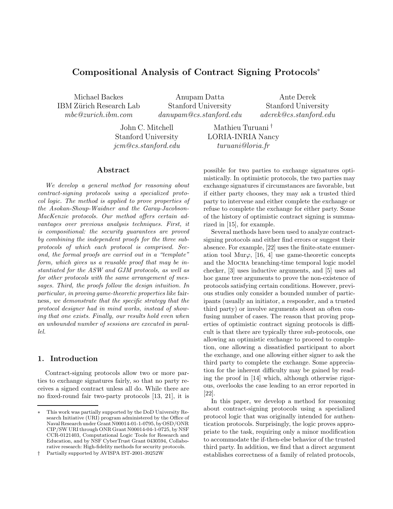# Compositional Analysis of Contract Signing Protocols<sup>∗</sup>

Michael Backes IBM Zürich Research Lab mbc@zurich.ibm.com

Anupam Datta Stanford University danupam@cs.stanford.edu

Ante Derek Stanford University aderek@cs.stanford.edu

John C. Mitchell Stanford University jcm@cs.stanford.edu

#### Abstract

We develop a general method for reasoning about contract-signing protocols using a specialized protocol logic. The method is applied to prove properties of the Asokan-Shoup-Waidner and the Garay-Jacobson-MacKenzie protocols. Our method offers certain advantages over previous analysis techniques. First, it is compositional: the security guarantees are proved by combining the independent proofs for the three subprotocols of which each protocol is comprised. Second, the formal proofs are carried out in a "template" form, which gives us a reusable proof that may be instantiated for the ASW and GJM protocols, as well as for other protocols with the same arrangement of messages. Third, the proofs follow the design intuition. In particular, in proving game-theoretic properties like fairness, we demonstrate that the specific strategy that the protocol designer had in mind works, instead of showing that one exists. Finally, our results hold even when an unbounded number of sessions are executed in parallel.

# 1. Introduction

Contract-signing protocols allow two or more parties to exchange signatures fairly, so that no party receives a signed contract unless all do. While there are no fixed-round fair two-party protocols [13, 21], it is

Mathieu Turuani † LORIA-INRIA Nancy turuani@loria.fr

possible for two parties to exchange signatures optimistically. In optimistic protocols, the two parties may exchange signatures if circumstances are favorable, but if either party chooses, they may ask a trusted third party to intervene and either complete the exchange or refuse to complete the exchange for either party. Some of the history of optimistic contract signing is summarized in [15], for example.

Several methods have been used to analyze contractsigning protocols and either find errors or suggest their absence. For example, [22] uses the finite-state enumeration tool Mur $\varphi$ , [16, 4] use game-theoretic concepts and the MOCHA branching-time temporal logic model checker, [3] uses inductive arguments, and [5] uses ad hoc game tree arguments to prove the non-existence of protocols satisfying certain conditions. However, previous studies only consider a bounded number of participants (usually an initiator, a responder, and a trusted third party) or involve arguments about an often confusing number of cases. The reason that proving properties of optimistic contract signing protocols is difficult is that there are typically three sub-protocols, one allowing an optimistic exchange to proceed to completion, one allowing a dissatisfied participant to abort the exchange, and one allowing either signer to ask the third party to complete the exchange. Some appreciation for the inherent difficulty may be gained by reading the proof in [14] which, although otherwise rigorous, overlooks the case leading to an error reported in [22].

In this paper, we develop a method for reasoning about contract-signing protocols using a specialized protocol logic that was originally intended for authentication protocols. Surprisingly, the logic proves appropriate to the task, requiring only a minor modification to accommodate the if-then-else behavior of the trusted third party. In addition, we find that a direct argument establishes correctness of a family of related protocols,

This work was partially supported by the DoD University Research Initiative (URI) program administered by the Office of Naval Research under Grant N00014-01-1-0795, by OSD/ONR CIP/SW URI through ONR Grant N00014-04-1-0725, by NSF CCR-0121403, Computational Logic Tools for Research and Education, and by NSF CyberTrust Grant 0430594, Collaborative research: High-fidelity methods for security protocols.

<sup>†</sup> Partially supported by AVISPA IST-2001-39252W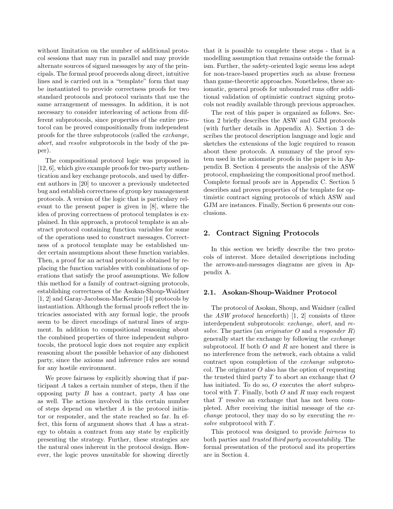without limitation on the number of additional protocol sessions that may run in parallel and may provide alternate sources of signed messages by any of the principals. The formal proof proceeds along direct, intuitive lines and is carried out in a "template" form that may be instantiated to provide correctness proofs for two standard protocols and protocol variants that use the same arrangement of messages. In addition, it is not necessary to consider interleaving of actions from different subprotocols, since properties of the entire protocol can be proved compositionally from independent proofs for the three subprotocols (called the exchange, abort, and resolve subprotocols in the body of the paper).

The compositional protocol logic was proposed in [12, 6], which give example proofs for two-party authentication and key exchange protocols, and used by different authors in [20] to uncover a previously undetected bug and establish correctness of group key management protocols. A version of the logic that is particulary relevant to the present paper is given in [8], where the idea of proving correctness of protocol templates is explained. In this approach, a protocol template is an abstract protocol containing function variables for some of the operations used to construct messages. Correctness of a protocol template may be established under certain assumptions about these function variables. Then, a proof for an actual protocol is obtained by replacing the function variables with combinations of operations that satisfy the proof assumptions. We follow this method for a family of contract-signing protocols, establishing correctness of the Asokan-Shoup-Waidner [1, 2] and Garay-Jacobson-MacKenzie [14] protocols by instantiation. Although the formal proofs reflect the intricacies associated with any formal logic, the proofs seem to be direct encodings of natural lines of argument. In addition to compositional reasoning about the combined properties of three independent subprotocols, the protocol logic does not require any explicit reasoning about the possible behavior of any dishonest party, since the axioms and inference rules are sound for any hostile environment.

We prove fairness by explicitly showing that if participant A takes a certain number of steps, then if the opposing party B has a contract, party A has one as well. The actions involved in this certain number of steps depend on whether A is the protocol initiator or responder, and the state reached so far. In effect, this form of argument shows that A has a strategy to obtain a contract from any state by explicitly presenting the strategy. Further, these strategies are the natural ones inherent in the protocol design. However, the logic proves unsuitable for showing directly

that it is possible to complete these steps - that is a modelling assumption that remains outside the formalism. Further, the safety-oriented logic seems less adept for non-trace-based properties such as abuse freeness than game-theoretic approaches. Nonetheless, these axiomatic, general proofs for unbounded runs offer additional validation of optimistic contract signing protocols not readily available through previous approaches.

The rest of this paper is organized as follows. Section 2 briefly describes the ASW and GJM protocols (with further details in Appendix A). Section 3 describes the protocol description language and logic and sketches the extensions of the logic required to reason about these protocols. A summary of the proof system used in the axiomatic proofs in the paper is in Appendix B. Section 4 presents the analysis of the ASW protocol, emphasizing the compositional proof method. Complete formal proofs are in Appendix C. Section 5 describes and proves properties of the template for optimistic contract signing protocols of which ASW and GJM are instances. Finally, Section 6 presents our conclusions.

# 2. Contract Signing Protocols

In this section we briefly describe the two protocols of interest. More detailed descriptions including the arrows-and-messages diagrams are given in Appendix A.

#### 2.1. Asokan-Shoup-Waidner Protocol

The protocol of Asokan, Shoup, and Waidner (called the  $ASW$  protocol henceforth) [1, 2] consists of three interdependent subprotocols: exchange, abort, and resolve. The parties (an *originator O* and a responder  $R$ ) generally start the exchange by following the exchange subprotocol. If both  $O$  and  $R$  are honest and there is no interference from the network, each obtains a valid contract upon completion of the exchange subprotocol. The originator  $O$  also has the option of requesting the trusted third party  $T$  to abort an exchange that  $O$ has initiated. To do so, O executes the abort subprotocol with  $T$ . Finally, both  $O$  and  $R$  may each request that T resolve an exchange that has not been completed. After receiving the initial message of the exchange protocol, they may do so by executing the resolve subprotocol with T.

This protocol was designed to provide fairness to both parties and trusted third party accountability. The formal presentation of the protocol and its properties are in Section 4.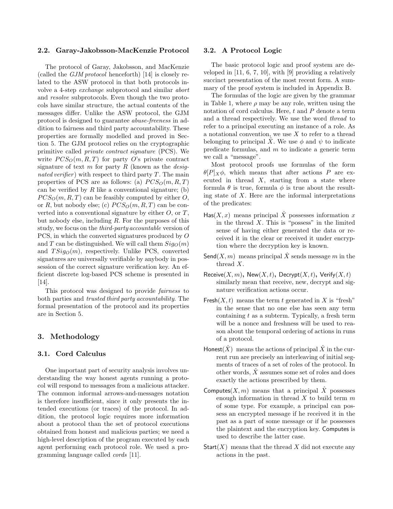#### 2.2. Garay-Jakobsson-MacKenzie Protocol

The protocol of Garay, Jakobsson, and MacKenzie (called the GJM protocol henceforth) [14] is closely related to the ASW protocol in that both protocols involve a 4-step exchange subprotocol and similar abort and resolve subprotocols. Even though the two protocols have similar structure, the actual contents of the messages differ. Unlike the ASW protocol, the GJM protocol is designed to guarantee abuse-freeness in addition to fairness and third party accountability. These properties are formally modelled and proved in Section 5. The GJM protocol relies on the cryptographic primitive called private contract signature (PCS). We write  $PCS_O(m, R, T)$  for party O's private contract signature of text m for party R (known as the *desig*nated verifier) with respect to third party T. The main properties of PCS are as follows: (a)  $PCS_O(m, R, T)$ can be verified by R like a conventional signature; (b)  $PCS_O(m, R, T)$  can be feasibly computed by either O, or R, but nobody else; (c)  $PCS_O(m, R, T)$  can be converted into a conventional signature by either  $O$ , or  $T$ , but nobody else, including  $R$ . For the purposes of this study, we focus on the third-party accountable version of PCS, in which the converted signatures produced by O and T can be distinguished. We will call them  $Sig_O(m)$ and  $TSig<sub>O</sub>(m)$ , respectively. Unlike PCS, converted signatures are universally verifiable by anybody in possession of the correct signature verification key. An efficient discrete log-based PCS scheme is presented in [14].

This protocol was designed to provide fairness to both parties and trusted third party accountability. The formal presentation of the protocol and its properties are in Section 5.

# 3. Methodology

### 3.1. Cord Calculus

One important part of security analysis involves understanding the way honest agents running a protocol will respond to messages from a malicious attacker. The common informal arrows-and-messages notation is therefore insufficient, since it only presents the intended executions (or traces) of the protocol. In addition, the protocol logic requires more information about a protocol than the set of protocol executions obtained from honest and malicious parties; we need a high-level description of the program executed by each agent performing each protocol role. We used a programming language called cords [11].

#### 3.2. A Protocol Logic

The basic protocol logic and proof system are developed in [11, 6, 7, 10], with [9] providing a relatively succinct presentation of the most recent form. A summary of the proof system is included in Appendix B.

The formulas of the logic are given by the grammar in Table 1, where  $\rho$  may be any role, written using the notation of cord calculus. Here, t and P denote a term and a thread respectively. We use the word thread to refer to a principal executing an instance of a role. As a notational convention, we use  $X$  to refer to a thread belonging to principal  $\hat{X}$ . We use  $\phi$  and  $\psi$  to indicate predicate formulas, and  $m$  to indicate a generic term we call a "message".

Most protocol proofs use formulas of the form  $\theta[P]_X\phi$ , which means that after actions P are executed in thread  $X$ , starting from a state where formula  $\theta$  is true, formula  $\phi$  is true about the resulting state of  $X$ . Here are the informal interpretations of the predicates:

- $\textsf{Has}(X, x)$  means principal  $\hat{X}$  possesses information x in the thread  $X$ . This is "possess" in the limited sense of having either generated the data or received it in the clear or received it under encryption where the decryption key is known.
- Send(X, m) means principal  $\hat{X}$  sends message m in the thread X.
- Receive $(X, m)$ , New $(X, t)$ , Decrypt $(X, t)$ , Verify $(X, t)$ similarly mean that receive, new, decrypt and signature verification actions occur.
- Fresh $(X, t)$  means the term t generated in X is "fresh" in the sense that no one else has seen any term containing  $t$  as a subterm. Typically, a fresh term will be a nonce and freshness will be used to reason about the temporal ordering of actions in runs of a protocol.
- Honest( $\hat{X}$ ) means the actions of principal  $\hat{X}$  in the current run are precisely an interleaving of initial segments of traces of a set of roles of the protocol. In other words,  $\overline{X}$  assumes some set of roles and does exactly the actions prescribed by them.
- Computes $(X, m)$  means that a principal X<sup>†</sup> possesses enough information in thread  $X$  to build term  $m$ of some type. For example, a principal can possess an encrypted message if he received it in the past as a part of some message or if he possesses the plaintext and the encryption key. Computes is used to describe the latter case.
- $Start(X)$  means that the thread X did not execute any actions in the past.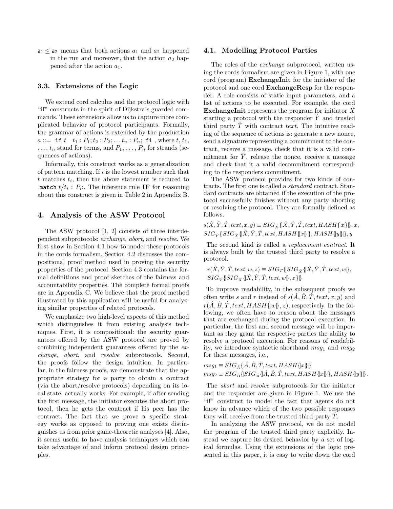$a_1 \le a_2$  means that both actions  $a_1$  and  $a_2$  happened in the run and moreover, that the action  $a_2$  happened after the action  $a_1$ .

#### 3.3. Extensions of the Logic

We extend cord calculus and the protocol logic with "if" constructs in the spirit of Dijkstra's guarded commands. These extensions allow us to capture more complicated behavior of protocol participants. Formally, the grammar of actions is extended by the production  $a ::= \textbf{if } t \quad t_1 : P_1; t_2 : P_2; \dots t_n : P_n; \textbf{fi}, \text{ where } t, t_1,$  $\ldots, t_n$  stand for terms, and  $P_1, \ldots, P_n$  for strands (sequences of actions).

Informally, this construct works as a generalization of pattern matching. If  $i$  is the lowest number such that  $t$  matches  $t_i$ , then the above statement is reduced to match  $t/t_i$ :  $P_i$ ;. The inference rule IF for reasoning about this construct is given in Table 2 in Appendix B.

### 4. Analysis of the ASW Protocol

The ASW protocol [1, 2] consists of three interdependent subprotocols: exchange, abort, and resolve. We first show in Section 4.1 how to model these protocols in the cords formalism. Section 4.2 discusses the compositional proof method used in proving the security properties of the protocol. Section 4.3 contains the formal definitions and proof sketches of the fairness and accountability properties. The complete formal proofs are in Appendix C. We believe that the proof method illustrated by this application will be useful for analyzing similar properties of related protocols.

We emphasize two high-level aspects of this method which distinguishes it from existing analysis techniques. First, it is compositional: the security guarantees offered by the ASW protocol are proved by combining independent guarantees offered by the exchange, abort, and resolve subprotocols. Second, the proofs follow the design intuition. In particular, in the fairness proofs, we demonstrate that the appropriate strategy for a party to obtain a contract (via the abort/resolve protocols) depending on its local state, actually works. For example, if after sending the first message, the initiator executes the abort protocol, then he gets the contract if his peer has the contract. The fact that we prove a specific strategy works as opposed to proving one exists distinguishes us from prior game-theoretic analyses [4]. Also, it seems useful to have analysis techniques which can take advantage of and inform protocol design principles.

#### 4.1. Modelling Protocol Parties

The roles of the *exchange* subprotocol, written using the cords formalism are given in Figure 1, with one cord (program) ExchangeInit for the initiator of the protocol and one cord ExchangeResp for the responder. A role consists of static input parameters, and a list of actions to be executed. For example, the cord ExchangeInit represents the program for initiator  $\bar{X}$ starting a protocol with the responder  $\tilde{Y}$  and trusted third party  $\tilde{T}$  with contract text. The intuitive reading of the sequence of actions is: generate a new nonce, send a signature representing a commitment to the contract, receive a message, check that it is a valid commitment for  $\hat{Y}$ , release the nonce, receive a message and check that it a valid decommitment corresponding to the responders commitment.

The ASW protocol provides for two kinds of contracts. The first one is called a standard contract. Standard contracts are obtained if the execution of the protocol successfully finishes without any party aborting or resolving the protocol. They are formally defined as follows.

 $s(\hat{X}, \hat{Y}, \hat{T}, text, x, y) \equiv SIG_{\hat{X}}\{\hat{X}, \hat{Y}, \hat{T}, text, HASH\{\{x\}\}\}, x,$  $SIG_{\hat{Y}} \{ SIG_{\hat{X}} \{\hat{X}, \hat{Y}, \hat{T}, text, HASH\{\{x\}\}, \}$ ,  $HASH\{\{y\}\}, y$ 

The second kind is called a replacement contract. It is always built by the trusted third party to resolve a protocol.

 $r(\hat{X}, \hat{Y}, \hat{T}, text, w, z) \equiv SIG_T \{ SIG_{\hat{Y}} \{ \hat{X}, \hat{Y}, \hat{T}, text, w \},$  $SIG_{\hat{\mathbf{y}}} \{ SIG_{\hat{\mathbf{y}}} \{ \hat{X}, \hat{Y}, \hat{T}, text, w \}, z \}$ 

To improve readability, in the subsequent proofs we often write s and r instead of  $s(\hat{A}, \hat{B}, \hat{T}, text, x, y)$  and  $r(A, B, T, text, HASH{w}, z)$ , respectively. In the following, we often have to reason about the messages that are exchanged during the protocol execution. In particular, the first and second message will be important as they grant the respective parties the ability to resolve a protocol execution. For reasons of readability, we introduce syntactic shorthand  $msg_1$  and  $msg_2$ for these messages, i.e.,

 $msg_1 \equiv SIG_{\hat{A}}\{\hat{A}, \hat{B}, \hat{T}, text, HASH\{\|x\|\}\}\$  $msg_2 \equiv SIG_{\hat{B}}\{SIG_{\hat{A}}\{\hat{A}, \hat{B}, \hat{T}, text, HASH\{x\}\}, HASH\{y\}\}.$ 

The abort and resolve subprotocols for the initiator and the responder are given in Figure 1. We use the "if" construct to model the fact that agents do not know in advance which of the two possible responses they will receive from the trusted third party  $\hat{T}$ .

In analyzing the ASW protocol, we do not model the program of the trusted third party explicitly. Instead we capture its desired behavior by a set of logical formulas. Using the extensions of the logic presented in this paper, it is easy to write down the cord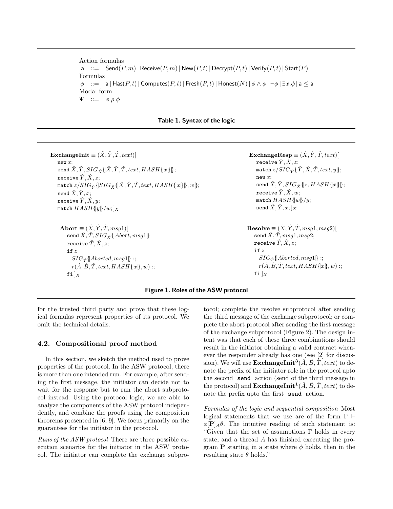Action formulas a ::=  $\text{Send}(P, m) | \text{Receive}(P, m) | \text{New}(P, t) | \text{Decrypt}(P, t) | \text{Verify}(P, t) | \text{Start}(P)$ Formulas  $\phi$  ::= a | Has $(P, t)$  | Computes $(P, t)$  | Fresh $(P, t)$  | Honest $(N)$  |  $\phi \wedge \phi$  |  $\neg \phi$  |  $\exists x. \phi$  | a  $\leq$  a Modal form  $\Psi$  ::=  $\phi \rho \phi$ 



ExchangeInit  $\equiv (\hat{X}, \hat{Y}, \hat{T}, text)$ new  $x$ ; send  $\hat{X}, \hat{Y}, SIG_{\hat{X}}\{\!\!\{\hat{X}, \hat{Y}, \hat{T}, text, HASH\{\!\!\{x\}\!\!\}\};$ receive  $\hat{Y}, \hat{X}, z$ ; match  $z/SIG_{\hat{Y}}\{\big| SIG_{\hat{X}}\{\hat{X}, \hat{Y}, \hat{T}, text, HASH\{\|x\}\}\},$  w $\}$ ; send  $\hat{X}, \hat{Y}, x;$ receive  $\hat{Y}, \hat{X}, y;$ match  $HASH\{y\}/w;$   $]_X$ ExchangeResp  $\equiv (\hat{X}, \hat{Y}, \hat{T}, text)$ receive  $\hat{Y}, \hat{X}, z;$ match  $z/SIG_{\hat{Y}}\{\hat{Y}, \hat{X}, \hat{T}, text, y\};$ new  $x;$ send  $\hat{X}, \hat{Y}, SIG_{\hat{X}}\{[z, HASH\{[x]\}]\};$ receive  $\hat{Y}, \hat{X}, w$ ; match  $HASH{w}{y;$ send  $\hat{X}, \hat{Y}, x; \}_X$ Abort  $\equiv (\hat{X}, \hat{Y}, \hat{T}, msg1)$ [ send  $\hat{X}, \hat{T}, SIG_{\hat{X}}\{\vert{Abort}, msg1\}$ receive  $\hat{T}, \hat{X}, z;$ if z  $SIG_{\hat{\tau}}\{Aborted, msg1\}$ :  $r(\hat{A}, \hat{B}, \hat{T}, text, HASH\{x\}, w)$ : fi  $\vert_X$  $\textbf{Resolve} \equiv (\hat{X}, \hat{Y}, \hat{T}, msg1, msg2)]$ send  $\hat{X}, \hat{T}, msg1, msg2;$ receive  $\hat{T}, \hat{X}, z;$ if z  $SIG_{\hat{T}}\{Aborted, msg1\}$ :;  $r(\hat{A}, \hat{B}, \hat{T}, text, HASH\{x\}, w)$ :; fi  $\vert x \vert$ 

### Figure 1. Roles of the ASW protocol

for the trusted third party and prove that these logical formulas represent properties of its protocol. We omit the technical details.

#### 4.2. Compositional proof method

In this section, we sketch the method used to prove properties of the protocol. In the ASW protocol, there is more than one intended run. For example, after sending the first message, the initiator can decide not to wait for the response but to run the abort subprotocol instead. Using the protocol logic, we are able to analyze the components of the ASW protocol independently, and combine the proofs using the composition theorems presented in [6, 9]. We focus primarily on the guarantees for the initiator in the protocol.

Runs of the ASW protocol There are three possible execution scenarios for the initiator in the ASW protocol. The initiator can complete the exchange subprotocol; complete the resolve subprotocol after sending the third message of the exchange subprotocol; or complete the abort protocol after sending the first message of the exchange subprotocol (Figure 2). The design intent was that each of these three combinations should result in the initiator obtaining a valid contract whenever the responder already has one (see [2] for discussion). We will use  $\textbf{ExchangeInit}^{\mathbf{3}}(\hat{A}, \hat{B}, \hat{T}, text)$  to denote the prefix of the initiator role in the protocol upto the second send action (send of the third message in the protocol) and  ${\bf ExchangeInit}^1(\hat A,\hat B,\hat T, text)$  to denote the prefix upto the first send action.

Formulas of the logic and sequential composition Most logical statements that we use are of the form  $\Gamma$  ⊢  $\phi[\mathbf{P}]_A\theta$ . The intuitive reading of such statement is: "Given that the set of assumptions  $\Gamma$  holds in every state, and a thread A has finished executing the program **P** starting in a state where  $\phi$  holds, then in the resulting state  $\theta$  holds."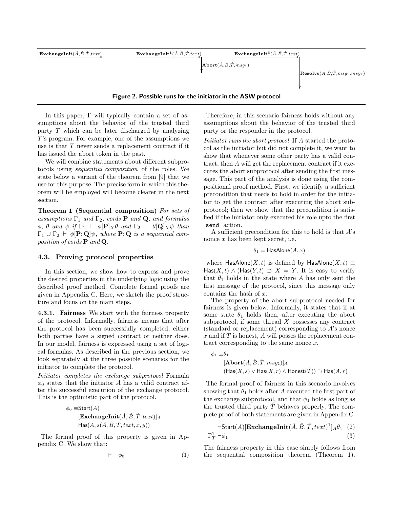

In this paper, Γ will typically contain a set of assumptions about the behavior of the trusted third party T which can be later discharged by analyzing  $T$ 's program. For example, one of the assumptions we use is that T never sends a replacement contract if it has issued the abort token in the past.

We will combine statements about different subprotocols using sequential composition of the roles. We state below a variant of the theorem from [9] that we use for this purpose. The precise form in which this theorem will be employed will become clearer in the next section.

Theorem 1 (Sequential composition) For sets of assumptions  $\Gamma_1$  and  $\Gamma_2$ , cords **P** and **Q**, and formulas  $\phi$ ,  $\theta$  and  $\psi$  if  $\Gamma_1$   $\vdash \phi[\mathbf{P}]_X \theta$  and  $\Gamma_2$   $\vdash \theta[\mathbf{Q}]_X \psi$  than  $\Gamma_1 \cup \Gamma_2 \vdash \phi[\mathbf{P};\mathbf{Q}]\psi$ , where  $\mathbf{P};\mathbf{Q}$  is a sequential composition of cords  $P$  and  $Q$ .

#### 4.3. Proving protocol properties

In this section, we show how to express and prove the desired properties in the underlying logic using the described proof method. Complete formal proofs are given in Appendix C. Here, we sketch the proof structure and focus on the main steps.

4.3.1. Fairness We start with the fairness property of the protocol. Informally, fairness means that after the protocol has been successfully completed, either both parties have a signed contract or neither does. In our model, fairness is expressed using a set of logical formulas. As described in the previous section, we look separately at the three possible scenarios for the initiator to complete the protocol.

Initiator completes the exchange subprotocol Formula  $\phi_0$  states that the initiator A has a valid contract after the successful execution of the exchange protocol. This is the optimistic part of the protocol.

$$
\phi_0 \equiv \text{Start}(A)
$$
  
\n[**ExchangeInit**( $\hat{A}, \hat{B}, \hat{T}, text$ )]<sub>A</sub>  
\n
$$
\text{Has}(A, s(\hat{A}, \hat{B}, \hat{T}, text, x, y))
$$

The formal proof of this property is given in Appendix C. We show that:

$$
\vdash \phi_0 \tag{1}
$$

Therefore, in this scenario fairness holds without any assumptions about the behavior of the trusted third party or the responder in the protocol.

Initiator runs the abort protocol If A started the protocol as the initiator but did not complete it, we want to show that whenever some other party has a valid contract, then A will get the replacement contract if it executes the abort subprotocol after sending the first message. This part of the analysis is done using the compositional proof method. First, we identify a sufficient precondition that needs to hold in order for the initiator to get the contract after executing the abort subprotocol; then we show that the precondition is satisfied if the initiator only executed his role upto the first send action.

A sufficient precondition for this to hold is that A's nonce  $x$  has been kept secret, i.e.

$$
\theta_1 = \mathsf{HasAlone}(A, x)
$$

where HasAlone(X, t) is defined by HasAlone(X, t)  $\equiv$ Has(X, t) ∧ (Has(Y, t) ⊃  $X = Y$ . It is easy to verify that  $\theta_1$  holds in the state where A has only sent the first message of the protocol, since this message only contains the hash of x.

The property of the abort subprotocol needed for fairness is given below. Informally, it states that if at some state  $\theta_1$  holds then, after executing the abort subprotocol, if some thread  $X$  possesses any contract (standard or replacement) corresponding to A's nonce  $x$  and if  $T$  is honest,  $A$  will posses the replacement contract corresponding to the same nonce  $x$ .

$$
\phi_1 \equiv \theta_1
$$
\n
$$
[\mathbf{Abort}(\hat{A}, \hat{B}, \hat{T}, msg_1)]_A
$$
\n
$$
(\mathsf{Has}(X, s) \lor \mathsf{Has}(X, r) \land \mathsf{Honest}(\hat{T})) \supset \mathsf{Has}(A, r)
$$

The formal proof of fairness in this scenario involves showing that  $\theta_1$  holds after A executed the first part of the exchange subprotocol, and that  $\phi_1$  holds as long as the trusted third party  $\overline{T}$  behaves properly. The complete proof of both statements are given in Appendix C.

$$
\vdash \mathsf{Start}(A)[\mathbf{ExchangeInit}(\hat{A}, \hat{B}, \hat{T}, text)^1]_A \theta_1 \tag{2}
$$
  

$$
\Gamma^1_T \vdash \phi_1 \tag{3}
$$

The fairness property in this case simply follows from the sequential composition theorem (Theorem 1).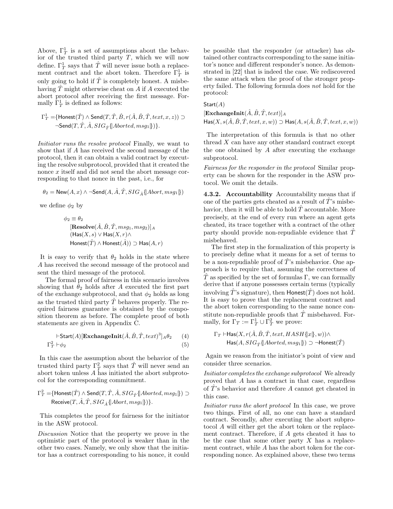Above,  $\Gamma_T^1$  is a set of assumptions about the behavior of the trusted third party  $T$ , which we will now define.  $\Gamma^1_T$  says that  $\hat{T}$  will never issue both a replacement contract and the abort token. Therefore  $\Gamma_T^1$  is only going to hold if  $\hat{T}$  is completely honest. A misbehaving  $\hat{T}$  might otherwise cheat on A if A executed the abort protocol after receiving the first message. Formally  $\Gamma_T^1$  is defined as follows:

$$
\Gamma^1_T = \{\text{Honest}(\hat{T}) \land \text{Send}(T, \hat{T}, \hat{B}, r(\hat{A}, \hat{B}, \hat{T}, text, x, z)) \supset \\ \neg \text{Send}(T, \hat{T}, \hat{A}, SIG_{\hat{T}}\{\text{Aborted}, msg_1\})\}.
$$

Initiator runs the resolve protocol Finally, we want to show that if A has received the second message of the protocol, then it can obtain a valid contract by executing the resolve subprotocol, provided that it created the nonce x itself and did not send the abort message corresponding to that nonce in the past, i.e., for

$$
\theta_2 = \textsf{New}(A, x) \land \neg \textsf{Send}(A, \hat{A}, \hat{T}, SIG_{\hat{A}}\{Abort, msg_1\})
$$

we define  $\phi_2$  by

$$
\begin{aligned} \phi_2 &\equiv \theta_2 \\ &[\mathbf{Resolve}(\hat{A}, \hat{B}, \hat{T}, msg_1, msg_2)]_A \\ &(\mathsf{Has}(X, s) \vee \mathsf{Has}(X, r) \wedge \\ &\mathsf{Honest}(\hat{T}) \wedge \mathsf{Honest}(\hat{A})) \supset \mathsf{Has}(A, r) \end{aligned}
$$

It is easy to verify that  $\theta_2$  holds in the state where A has received the second message of the protocol and sent the third message of the protocol.

The formal proof of fairness in this scenario involves showing that  $\theta_2$  holds after A executed the first part of the exchange subprotocol, and that  $\phi_2$  holds as long as the trusted third party  $\overline{T}$  behaves properly. The required fairness guarantee is obtained by the composition theorem as before. The complete proof of both statements are given in Appendix C.

$$
\vdash \mathsf{Start}(A) [\mathbf{ExchangeInit}(\hat{A}, \hat{B}, \hat{T}, text)^3]_A \theta_2 \qquad (4)
$$
  

$$
\Gamma^2_T \vdash \phi_2 \qquad (5)
$$

In this case the assumption about the behavior of the trusted third party  $\Gamma_T^2$  says that  $\hat{T}$  will never send an abort token unless A has initiated the abort subprotocol for the corresponding commitment.

$$
\Gamma^2_T = \{\text{Honest}(\hat{T}) \wedge \text{Send}(T, \hat{T}, \hat{A}, SIG_{\hat{T}} \{Aborted, msg_1\}) \supset \\ \text{Receive}(T, \hat{A}, \hat{T}, SIG_{\hat{A}} \{Abort, msg_1\})\}.
$$

This completes the proof for fairness for the initiator in the ASW protocol.

Discussion Notice that the property we prove in the optimistic part of the protocol is weaker than in the other two cases. Namely, we only show that the initiator has a contract corresponding to his nonce, it could

be possible that the responder (or attacker) has obtained other contracts corresponding to the same initiator's nonce and different responder's nonce. As demonstrated in [22] that is indeed the case. We rediscovered the same attack when the proof of the stronger property failed. The following formula does not hold for the protocol:

#### $Start(A)$

 $[\textbf{ExchangeInit}(\hat{A}, \hat{B}, \hat{T}, text)]_A$  $\textsf{Has}(X, s(\hat{A}, \hat{B}, \hat{T}, text, x, w)) \supset \textsf{Has}(A, s(\hat{A}, \hat{B}, \hat{T}, text, x, w))$ 

The interpretation of this formula is that no other thread X can have any other standard contract except the one obtained by A after executing the exchange subprotocol.

Fairness for the responder in the protocol Similar property can be shown for the responder in the ASW protocol. We omit the details.

4.3.2. Accountability Accountability means that if one of the parties gets cheated as a result of  $T$ 's misbehavior, then it will be able to hold  $\hat{T}$  accountable. More precisely, at the end of every run where an agent gets cheated, its trace together with a contract of the other party should provide non-repudiable evidence that  $\hat{T}$ misbehaved.

The first step in the formalization of this property is to precisely define what it means for a set of terms to be a non-repudiable proof of  $\hat{T}$ 's misbehavior. One approach is to require that, assuming the correctness of  $\hat{T}$  as specified by the set of formulas Γ, we can formally derive that if anyone possesses certain terms (typically involving  $\hat{T}$ 's signature), then  $\mathsf{Honest}(\hat{T})$  does not hold. It is easy to prove that the replacement contract and the abort token corresponding to the same nonce constitute non-repudiable proofs that  $\hat{T}$  misbehaved. Formally, for  $\Gamma_T := \Gamma_T^1 \cup \Gamma_T^2$  we prove:

$$
\Gamma_T \vdash \mathsf{Has}(X, r(\hat{A}, \hat{B}, \hat{T}, text, HASH\{\|x\}, w)) \land \mathsf{Has}(A, SIG_{\hat{T}}\{\text{Aborted}, msg_1\}) \supset \neg \mathsf{Honest}(\hat{T})
$$

Again we reason from the initiator's point of view and consider three scenarios.

Initiator completes the exchange subprotocol We already proved that A has a contract in that case, regardless of  $\overline{T}$ 's behavior and therefore A cannot get cheated in this case.

Initiator runs the abort protocol In this case, we prove two things. First of all, no one can have a standard contract. Secondly, after executing the abort subprotocol A will either get the abort token or the replacement contract. Therefore, if A gets cheated it has to be the case that some other party  $X$  has a replacement contract, while A has the abort token for the corresponding nonce. As explained above, these two terms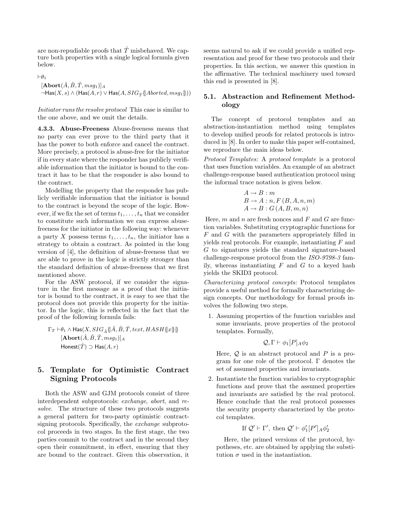are non-repudiable proofs that  $\hat{T}$  misbehaved. We capture both properties with a single logical formula given below.

 $\vdash \theta_1$  $[\textbf{Abort}(\hat{A}, \hat{B}, \hat{T}, msg_1)]_A$  $\neg$ Has $(X, s) \wedge (Has(A, r) \vee Has(A, SIG_{\hat{T}}\{Aborted, msg_1\}))$ 

Initiator runs the resolve protocol This case is similar to the one above, and we omit the details.

4.3.3. Abuse-Freeness Abuse-freeness means that no party can ever prove to the third party that it has the power to both enforce and cancel the contract. More precisely, a protocol is abuse-free for the initiator if in every state where the responder has publicly verifiable information that the initiator is bound to the contract it has to be that the responder is also bound to the contract.

Modelling the property that the responder has publicly verifiable information that the initiator is bound to the contract is beyond the scope of the logic. However, if we fix the set of terms  $t_1, \ldots, t_n$  that we consider to constitute such information we can express abusefreeness for the initiator in the following way: whenever a party X possess terms  $t_1, \ldots, t_n$ , the initiator has a strategy to obtain a contract. As pointed in the long version of [4], the definition of abuse-freeness that we are able to prove in the logic is strictly stronger than the standard definition of abuse-freeness that we first mentioned above.

For the ASW protocol, if we consider the signature in the first message as a proof that the initiator is bound to the contract, it is easy to see that the protocol does not provide this property for the initiator. In the logic, this is reflected in the fact that the proof of the following formula fails:

 $\Gamma_T \vdash \theta_1 \wedge \textsf{Has}(X, SIG_A \{\vert \hat{A}, \hat{B}, \hat{T}, text, HASH \{\vert x \vert\})\}$  $[\textbf{Abort}(\hat{A}, \hat{B}, \hat{T}, msg_1)]_A$ Honest $(\hat{T}) \supset \text{Has}(A, r)$ 

# 5. Template for Optimistic Contract Signing Protocols

Both the ASW and GJM protocols consist of three interdependent subprotocols: exchange, abort, and resolve. The structure of these two protocols suggests a general pattern for two-party optimistic contractsigning protocols. Specifically, the exchange subprotocol proceeds in two stages. In the first stage, the two parties commit to the contract and in the second they open their commitment, in effect, ensuring that they are bound to the contract. Given this observation, it

seems natural to ask if we could provide a unified representation and proof for these two protocols and their properties. In this section, we answer this question in the affirmative. The technical machinery used toward this end is presented in [8].

# 5.1. Abstraction and Refinement Methodology

The concept of protocol templates and an abstraction-instantiation method using templates to develop unified proofs for related protocols is introduced in [8]. In order to make this paper self-contained, we reproduce the main ideas below.

Protocol Templates: A protocol template is a protocol that uses function variables. An example of an abstract challenge-response based authentication protocol using the informal trace notation is given below.

$$
A \rightarrow B : m
$$
  
\n
$$
B \rightarrow A : n, F (B, A, n, m)
$$
  
\n
$$
A \rightarrow B : G (A, B, m, n)
$$

Here,  $m$  and  $n$  are fresh nonces and  $F$  and  $G$  are function variables. Substituting cryptographic functions for  $F$  and  $G$  with the parameters appropriately filled in yields real protocols. For example, instantiating F and G to signatures yields the standard signature-based challenge-response protocol from the ISO-9798-3 family, whereas instantiating  $F$  and  $G$  to a keyed hash yields the SKID3 protocol.

Characterizing protocol concepts: Protocol templates provide a useful method for formally characterizing design concepts. Our methodology for formal proofs involves the following two steps.

1. Assuming properties of the function variables and some invariants, prove properties of the protocol templates. Formally,

$$
\mathcal{Q}, \Gamma \vdash \phi_1[P]_A \phi_2
$$

Here,  $Q$  is an abstract protocol and  $P$  is a program for one role of the protocol. Γ denotes the set of assumed properties and invariants.

2. Instantiate the function variables to cryptographic functions and prove that the assumed properties and invariants are satisfied by the real protocol. Hence conclude that the real protocol possesses the security property characterized by the protocol templates.

If 
$$
Q' \vdash \Gamma'
$$
, then  $Q' \vdash \phi'_1[P']_A \phi'_2$ 

Here, the primed versions of the protocol, hypotheses, etc. are obtained by applying the substitution  $\sigma$  used in the instantiation.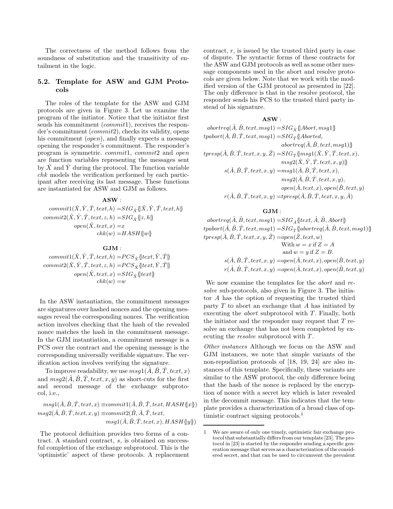The correctness of the method follows from the soundness of substitution and the transitivity of entailment in the logic.

# 5.2. Template for ASW and GJM Protocols

The roles of the template for the ASW and GJM protocols are given in Figure 3. Let us examine the program of the initiator. Notice that the initiator first sends his commitment *(commit1)*, receives the responder's commitment (commit2), checks its validity, opens his commitment *(open)*, and finally expects a message opening the responder's commitment. The responder's program is symmetric. commit1, commit2 and open are function variables representing the messages sent by  $\hat{X}$  and  $\hat{Y}$  during the protocol. The function variable chk models the verification performed by each participant after receiving its last message. These functions are instantiated for ASW and GJM as follows.

#### ASW :

 $commit1(\hat{X},\hat{Y},\hat{T},text, h)=SIG_{\hat{X}}\{\mid\!\hat{X},\hat{Y},\hat{T},text, h\}$  $commit2(\hat{X}, \hat{Y}, \hat{T}, text, z, h) = SIG_{\hat{X}}\{z, h\}$  $open(\hat{X}, text, x) = x$  $chk(w) = HASH$ {|w|}

#### GJM :

$$
\begin{matrix} commit1(\hat{X}, \hat{Y}, \hat{T}, text, h) = PCS_{\hat{X}} \{ text, \hat{Y}, \hat{T} \} \\ commit2(\hat{X}, \hat{Y}, \hat{T}, text, z, h) = PCS_{\hat{X}} \{ text, \hat{Y}, \hat{T} \} \\ open(\hat{X}, text, x) = SIG_{\hat{X}} \{ text \} \\ chk(w) = w \end{matrix}
$$

In the ASW instantiation, the commitment messages are signatures over hashed nonces and the opening messages reveal the corresponding nonces. The verification action involves checking that the hash of the revealed nonce matches the hash in the commitment message. In the GJM instantiation, a commitment message is a PCS over the contract and the opening message is the corresponding universally verifiable signature. The verification action involves verifying the signature.

To improve readability, we use  $msg1(\hat{A}, \hat{B}, \hat{T}, text, x)$ and  $msg2(\hat{A}, \hat{B}, \hat{T}, text, x, y)$  as short-cuts for the first and second message of the exchange subprotocol, i.e.,

 $msg1(\hat{A}, \hat{B}, \hat{T}, text, x) \equiv committ(\hat{A}, \hat{B}, \hat{T}, text, HASH\{x\})$  $msg2(\hat{A}, \hat{B}, \hat{T}, text, x, y) \equiv committ2(\hat{B}, \hat{A}, \hat{T}, text,$  $msg1(\hat{A}, \hat{B}, \hat{T}, text, x), HASH\{\vert y\vert\})$ 

contract,  $r$ , is issued by the trusted third party in case of dispute. The syntactic forms of these contracts for the ASW and GJM protocols as well as some other message components used in the abort and resolve protocols are given below. Note that we work with the modified version of the GJM protocol as presented in [22]. The only difference is that in the resolve protocol, the responder sends his PCS to the trusted third party instead of his signature.

# ASW :

 $abortreq(\hat{A}, \hat{B}, text, msg1) = SIG_{\hat{X}}\{Abort, msg1\}$  $tpabort(\hat{A}, \hat{B}, \hat{T}, text, msg1)=SIG_{\hat{T}}\{Aborted,$  $abortreq(\hat{A}, \hat{B}, text, msg 1)|$  $tpresp(\hat{A}, \hat{B}, \hat{T}, text, x, y, \hat{Z}) = SIG_{\hat{T}}\{msg1(\hat{X}, \hat{Y}, \hat{T}, text, x),\}$  $msg2(\hat{X}, \hat{Y}, \hat{T}, text, x, y)$  $s(\hat{A}, \hat{B}, \hat{T}, text, x, y) = msg1(\hat{A}, \hat{B}, \hat{T}, text, x),$  $msg2(\hat{A}, \hat{B}, \hat{T}, text, x, y),$  $open(\hat{A}, text, x), open(\hat{B}, text, y)$  $r(\hat{A}, \hat{B}, \hat{T}, text, x, y) =$ tpresp $(\hat{A}, \hat{B}, \hat{T}, text, x, y, \hat{A})$ 

# GJM :

 $abortreq(\hat{A}, \hat{B}, text, msg1) = SIG_{\hat{A}}\{text,} \hat{A}, \hat{B}, About\}$  $tpabort(\hat{A}, \hat{B}, \hat{T}, text, msg1) = SIG_{\hat{T}}\{abortreq(\hat{A}, \hat{B}, text, msg1)\}$  $tpresp(\hat{A}, \hat{B}, \hat{T}, text, x, y, \hat{Z}) = open(\hat{Z}, text, w)$ With  $w = x$  if  $Z = A$ and  $w = y$  if  $Z = B$ .  $s(\hat{A}, \hat{B}, \hat{T}, text, x, y) = open(\hat{A}, text, x), open(\hat{B}, text, y)$  $r(\hat{A}, \hat{B}, \hat{T}, text, x, y) = open(\hat{A}, text, x), open(\hat{B}, text, y)$ 

We now examine the templates for the abort and resolve sub-protocols, also given in Figure 3. The initiator A has the option of requesting the trusted third party  $T$  to abort an exchange that  $A$  has initiated by executing the *abort* subprotocol with  $T$ . Finally, both the initiator and the responder may request that  $T$  resolve an exchange that has not been completed by executing the *resolve* subprotocol with T.

Other instances Although we focus on the ASW and GJM instances, we note that simple variants of the non-repudiation protocols of [18, 19, 24] are also instances of this template. Specifically, these variants are similar to the ASW protocol, the only difference being that the hash of the nonce is replaced by the encryption of nonce with a secret key which is later revealed in the decommit message. This indicates that the template provides a characterization of a broad class of optimistic contract signing protocols.<sup>1</sup>

The protocol definition provides two forms of a contract. A standard contract, s, is obtained on successful completion of the exchange subprotocol. This is the 'optimistic' aspect of these protocols. A replacement

<sup>1</sup> We are aware of only one timely, optimistic fair exchange protocol that substantially differs from our template [23]. The protocol in [23] is started by the responder sending a specific generation message that serves as a characterization of the considered secret, and that can be used to circumvent the prevalent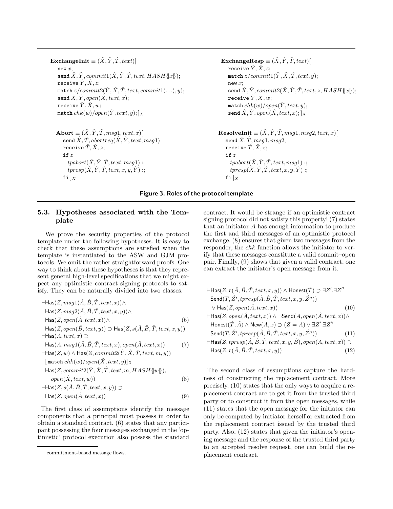ExchangeInit  $\equiv (\hat{X}, \hat{Y}, \hat{T}, text)$ new  $x$ : send  $\hat{X}, \hat{Y}, committ(\hat{X}, \hat{Y}, \hat{T}, text, HASH\{x\});$ receive  $\hat{Y}, \hat{X}, z$ ; match  $z/commit2(\hat{Y}, \hat{X}, \hat{T}, text, commit1(...), y);$ send  $\hat{X}, \hat{Y}, open(\hat{X}, text, x);$ receive  $\hat{Y}, \hat{X}, w$ ; match  $chk(w)/open(\hat{Y}, text, y);$  |x

Abort  $\equiv (\hat{X}, \hat{Y}, \hat{T}, msg1, text, x)$ send  $\hat{X}, \hat{T}$ , abortreq $(\hat{X}, \hat{Y}, text, msg 1)$ receive  $\hat{T}, \hat{X}, z$ ; if  $\alpha$  $tpabort(\hat{X}, \hat{Y}, \hat{T}, text, msg1)$ :  $tpresp(\hat{X}, \hat{Y}, \hat{T}, text, x, y, \hat{Y})$ :; fi  $\vert_X$ 

ExchangeResp  $\equiv (\hat{X}, \hat{Y}, \hat{T}, text)$ receive  $\hat{Y}, \hat{X}, z$ ; match  $z$ /commit $1(\hat{Y}, \hat{X}, \hat{T}, text, y)$ ; new  $x$ ; send  $\hat{X}, \hat{Y}, commit2(\hat{X}, \hat{Y}, \hat{T}, text, z, HASH\{x\});$ receive  $\hat{Y}, \hat{X}, w;$ match  $chk(w)/open(\hat{Y}, text, y);$ send  $\hat{X}, \hat{Y}, open(\hat{X}, text, x); |X$ 

 $\textbf{ResolveInit} \equiv (\hat{X}, \hat{Y}, \hat{T}, msg1, msg2, text, x)$ send  $\hat{X}, \hat{T}, msg1, msg2;$ receive  $\hat{T}, \hat{X}, z;$ if z  $tpabort(\hat{X}, \hat{Y}, \hat{T}, text, msg1)$ :  $tpresp(\hat{X}, \hat{Y}, \hat{T}, text, x, y, \hat{Y})$ :; fi  $\vert x \vert$ 

#### Figure 3. Roles of the protocol template

# 5.3. Hypotheses associated with the Template

We prove the security properties of the protocol template under the following hypotheses. It is easy to check that these assumptions are satisfied when the template is instantiated to the ASW and GJM protocols. We omit the rather straightforward proofs. One way to think about these hypotheses is that they represent general high-level specifications that we might expect any optimistic contract signing protocols to satisfy. They can be naturally divided into two classes.

$$
\vdash Has(Z, msg1(\hat{A}, \hat{B}, \hat{T}, text, x)) \land
$$
\n
$$
Has(Z, msg2(\hat{A}, \hat{B}, \hat{T}, text, x, y)) \land
$$
\n
$$
Has(Z, open(\hat{A}, text, x)) \land
$$
\n
$$
Has(Z, open(\hat{B}, text, x)) ) \qquad (6)
$$
\n
$$
Has(Z, open(\hat{B}, text, y)) \supset \text{Has}(Z, s(\hat{A}, \hat{B}, \hat{T}, text, x, y))
$$
\n
$$
\vdash Has(A, text, x) \supset
$$
\n
$$
Has(A, msg1(\hat{A}, \hat{B}, \hat{T}, text, x), open(\hat{A}, text, x))
$$
\n
$$
\vdash Has(Z, w) \land Has(Z, commit2(\hat{Y}, \hat{X}, \hat{T}, text, m, y))
$$
\n
$$
[match chk(w)/open(\hat{X}, text, y)]z
$$
\n
$$
Has(Z, commit2(\hat{Y}, \hat{X}, \hat{T}, text, m, HASH\{w\}), open(\hat{X}, text, w))
$$
\n
$$
\vdash Has(Z, s(\hat{A}, \hat{B}, \hat{T}, text, x, y)) \supset
$$
\n
$$
(8)
$$

$$
Has(Z, open(\hat{A}, text, x))
$$
\n(9)

The first class of assumptions identify the message components that a principal must possess in order to obtain a standard contract. (6) states that any participant possessing the four messages exchanged in the 'optimistic' protocol execution also possess the standard

contract. It would be strange if an optimistic contract signing protocol did not satisfy this property! (7) states that an initiator A has enough information to produce the first and third messages of an optimistic protocol exchange. (8) ensures that given two messages from the responder, the *chk* function allows the initiator to verify that these messages constitute a valid commit–open pair. Finally, (9) shows that given a valid contract, one can extract the initiator's open message from it.

| $H = Has(Z, r(\hat{A}, \hat{B}, \hat{T}, text, x, y)) \wedge$ Honest $(\hat{T}) \supset \exists Z'. \exists Z''$                 |      |
|----------------------------------------------------------------------------------------------------------------------------------|------|
| Send $(T, \hat{Z}$ ', $typesp(\hat{A}, \hat{B}, \hat{T}, text, x, y, \hat{Z}$ ''))                                               |      |
| $\vee$ Has $(Z, open(\hat{A}, text, x))$                                                                                         | (10) |
| $\vdash$ Has $(Z, open(\hat{A}, text, x)) \wedge \neg$ Send $(A, open(\hat{A}, text, x)) \wedge$                                 |      |
| Honest $(\hat{T}, \hat{A}) \wedge$ New $(A, x) \supset (Z = A) \vee \exists Z'. \exists Z''$                                     |      |
| Send $(T, \hat{Z}$ ', tpresp $(\hat{A}, \hat{B}, \hat{T}, text, x, y, \hat{Z}^{\prime\prime})$ )                                 | (11) |
| $\vdash$ Has $(Z, \text{trresp}(\hat{A}, \hat{B}, \hat{T}, \text{text}, x, y, \hat{B}), \text{open}(A, \text{text}, x)) \supset$ |      |
| $\mathsf{Has}(Z, r(\hat{A}, \hat{B}, \hat{T}, text, x, y))$                                                                      | (12) |

The second class of assumptions capture the hardness of constructing the replacement contract. More precisely, (10) states that the only ways to acquire a replacement contract are to get it from the trusted third party or to construct it from the open messages, while (11) states that the open message for the initiator can only be computed by initiator herself or extracted from the replacement contract issued by the trusted third party. Also, (12) states that given the initiator's opening message and the response of the trusted third party to an accepted resolve request, one can build the replacement contract.

commitment-based message flows.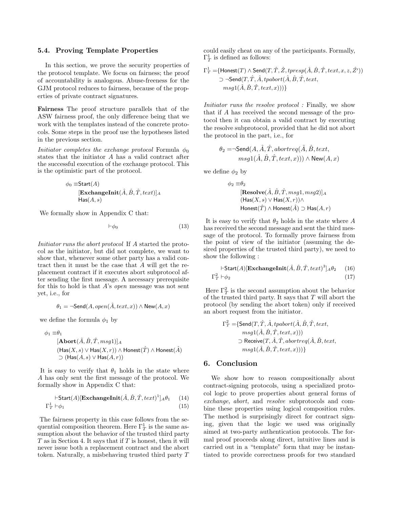#### 5.4. Proving Template Properties

In this section, we prove the security properties of the protocol template. We focus on fairness; the proof of accountability is analogous. Abuse-freeness for the GJM protocol reduces to fairness, because of the properties of private contract signatures.

Fairness The proof structure parallels that of the ASW fairness proof, the only difference being that we work with the templates instead of the concrete protocols. Some steps in the proof use the hypotheses listed in the previous section.

*Initiator completes the exchange protocol* Formula  $\phi_0$ states that the initiator A has a valid contract after the successful execution of the exchange protocol. This is the optimistic part of the protocol.

$$
\phi_0 \equiv \text{Start}(A)
$$
  
\n[**ExchangeInit**( $\hat{A}, \hat{B}, \hat{T}, text$ )]<sub>A</sub>  
\n
$$
\text{Has}(A, s)
$$

We formally show in Appendix C that:

$$
\vdash \phi_0 \tag{13}
$$

Initiator runs the abort protocol If A started the protocol as the initiator, but did not complete, we want to show that, whenever some other party has a valid contract then it must be the case that A will get the replacement contract if it executes abort subprotocol after sending the first message. A necessary prerequisite for this to hold is that A's open message was not sent yet, i.e., for

$$
\theta_1 = \neg \mathsf{Send}(A, open(\hat{A}, text, x)) \land \mathsf{New}(A, x)
$$

we define the formula  $\phi_1$  by

$$
\phi_1 \equiv \theta_1
$$
\n
$$
[\mathbf{Abort}(\hat{A}, \hat{B}, \hat{T}, msg1)]_A
$$
\n
$$
(\mathsf{Has}(X, s) \lor \mathsf{Has}(X, r)) \land \mathsf{Honest}(\hat{T}) \land \mathsf{Honest}(\hat{A})
$$
\n
$$
\supset (\mathsf{Has}(A, s) \lor \mathsf{Has}(A, r))
$$

It is easy to verify that  $\theta_1$  holds in the state where A has only sent the first message of the protocol. We formally show in Appendix C that:

$$
\vdash \mathsf{Start}(A)[\mathbf{ExchangeInit}(\hat{A}, \hat{B}, \hat{T}, text)^1]_A \theta_1 \qquad (14)
$$
  

$$
\Gamma^1_T \vdash \phi_1 \qquad (15)
$$

The fairness property in this case follows from the sequential composition theorem. Here  $\Gamma_T^1$  is the same assumption about the behavior of the trusted third party  $T$  as in Section 4. It says that if  $T$  is honest, then it will never issue both a replacement contract and the abort token. Naturally, a misbehaving trusted third party T could easily cheat on any of the participants. Formally,  $\Gamma_T^1$  is defined as follows:

Γ 1 <sup>T</sup> ={Honest(T) ∧ Send(T, T , ˆ Z, tpresp ˆ (A, ˆ B, ˆ T , text, x, z, ˆ Zˆ′)) ⊃ ¬Send(T, T , ˆ A, tpabort ˆ (A, ˆ B, ˆ T, text, ˆ msg1(A, ˆ B, ˆ T, text, x ˆ )))}

Initiator runs the resolve protocol : Finally, we show that if A has received the second message of the protocol then it can obtain a valid contract by executing the resolve subprotocol, provided that he did not abort the protocol in the part, i.e., for

$$
\theta_2 = \text{Send}(A, \hat{A}, \hat{T}, abortreq(\hat{A}, \hat{B}, text, \\ msg1(\hat{A}, \hat{B}, \hat{T}, text, x))) \land \text{New}(A, x)
$$

we define  $\phi_2$  by

$$
\begin{aligned} \phi_2 \equiv & \theta_2 \\ [\mathbf{Resolve}(\hat{A}, \hat{B}, \hat{T}, msg1, msg2)]_A \\ (\mathsf{Has}(X, s) \vee \mathsf{Has}(X, r)) \wedge \\ \mathsf{Honest}(\hat{T}) \wedge \mathsf{Honest}(\hat{A}) \supset \mathsf{Has}(A, r) \end{aligned}
$$

It is easy to verify that  $\theta_2$  holds in the state where A has received the second message and sent the third message of the protocol. To formally prove fairness from the point of view of the initiator (assuming the desired properties of the trusted third party), we need to show the following :

$$
\vdash \mathsf{Start}(A) [\mathbf{ExchangeInit}(\hat{A}, \hat{B}, \hat{T}, text)^3]_A \theta_2 \quad (16) \\ \Gamma_T^2 \vdash \phi_2 \quad (17)
$$

Here  $\Gamma_T^2$  is the second assumption about the behavior of the trusted third party. It says that T will abort the protocol (by sending the abort token) only if received an abort request from the initiator.

$$
\Gamma^2_T = \{ \textsf{Send}(T, \hat{T}, \hat{A}, t\npabort(\hat{A}, \hat{B}, \hat{T}, text, \max1(\hat{A}, \hat{B}, \hat{T}, text, x))) \}
$$
\n
$$
\supset \textsf{Receive}(T, \hat{A}, \hat{T}, abortreq(\hat{A}, \hat{B}, text, \max1(\hat{A}, \hat{B}, \hat{T}, text, x))) \}
$$

#### 6. Conclusion

We show how to reason compositionally about contract-signing protocols, using a specialized protocol logic to prove properties about general forms of exchange, abort, and resolve subprotocols and combine these properties using logical composition rules. The method is surprisingly direct for contract signing, given that the logic we used was originally aimed at two-party authentication protocols. The formal proof proceeds along direct, intuitive lines and is carried out in a "template" form that may be instantiated to provide correctness proofs for two standard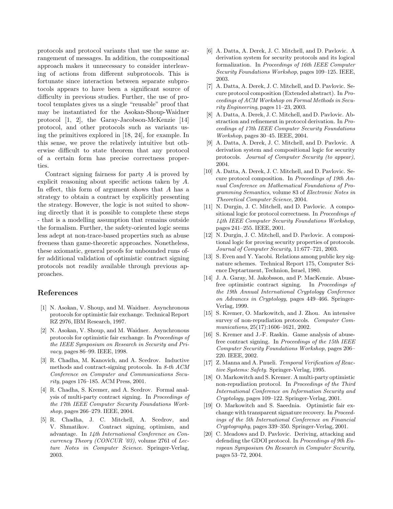protocols and protocol variants that use the same arrangement of messages. In addition, the compositional approach makes it unnecessary to consider interleaving of actions from different subprotocols. This is fortunate since interaction between separate subprotocols appears to have been a significant source of difficulty in previous studies. Further, the use of protocol templates gives us a single "reusable" proof that may be instantiated for the Asokan-Shoup-Waidner protocol [1, 2], the Garay-Jacobson-McKenzie [14] protocol, and other protocols such as variants using the primitives explored in [18, 24], for example. In this sense, we prove the relatively intuitive but otherwise difficult to state theorem that any protocol of a certain form has precise correctness properties.

Contract signing fairness for party A is proved by explicit reasoning about specific actions taken by A. In effect, this form of argument shows that A has a strategy to obtain a contract by explicitly presenting the strategy. However, the logic is not suited to showing directly that it is possible to complete these steps - that is a modelling assumption that remains outside the formalism. Further, the safety-oriented logic seems less adept at non-trace-based properties such as abuse freeness than game-theoretic approaches. Nonetheless, these axiomatic, general proofs for unbounded runs offer additional validation of optimistic contract signing protocols not readily available through previous approaches.

### References

- [1] N. Asokan, V. Shoup, and M. Waidner. Asynchronous protocols for optimistic fair exchange. Technical Report RZ 2976, IBM Research, 1997.
- [2] N. Asokan, V. Shoup, and M. Waidner. Asynchronous protocols for optimistic fair exchange. In Proceedings of the IEEE Symposium on Research in Security and Privacy, pages 86–99. IEEE, 1998.
- [3] R. Chadha, M. Kanovich, and A. Scedrov. Inductive methods and contract-signing protocols. In 8-th ACM Conference on Computer and Communications Security, pages 176–185. ACM Press, 2001.
- [4] R. Chadha, S. Kremer, and A. Scedrov. Formal analysis of multi-party contract signing. In Proceedings of the 17th IEEE Computer Security Foundations Workshop, pages 266–279. IEEE, 2004.
- [5] R. Chadha, J. C. Mitchell, A. Scedrov, and V. Shmatikov. Contract signing, optimism, and advantage. In 14th International Conference on Concurrency Theory (CONCUR '03), volume 2761 of Lecture Notes in Computer Science. Springer-Verlag, 2003.
- [6] A. Datta, A. Derek, J. C. Mitchell, and D. Pavlovic. A derivation system for security protocols and its logical formalization. In Proceedings of 16th IEEE Computer Security Foundations Workshop, pages 109–125. IEEE, 2003.
- [7] A. Datta, A. Derek, J. C. Mitchell, and D. Pavlovic. Secure protocol composition (Extended abstract). In Proceedings of ACM Workshop on Formal Methods in Security Engineering, pages 11–23, 2003.
- [8] A. Datta, A. Derek, J. C. Mitchell, and D. Pavlovic. Abstraction and refinement in protocol derivation. In Proceedings of 17th IEEE Computer Security Foundations Workshop, pages 30–45. IEEE, 2004.
- [9] A. Datta, A. Derek, J. C. Mitchell, and D. Pavlovic. A derivation system and compositional logic for security protocols. Journal of Computer Security (to appear), 2004.
- [10] A. Datta, A. Derek, J. C. Mitchell, and D. Pavlovic. Secure protocol composition. In Proceedings of 19th Annual Conference on Mathematical Foundations of Programming Semantics, volume 83 of Electronic Notes in Theoretical Computer Science, 2004.
- [11] N. Durgin, J. C. Mitchell, and D. Pavlovic. A compositional logic for protocol correctness. In Proceedings of 14th IEEE Computer Security Foundations Workshop, pages 241–255. IEEE, 2001.
- [12] N. Durgin, J. C. Mitchell, and D. Pavlovic. A compositional logic for proving security properties of protocols. Journal of Computer Security, 11:677–721, 2003.
- [13] S. Even and Y. Yacobi. Relations among public key signature schemes. Technical Report 175, Computer Science Deptartment, Technion, Israel, 1980.
- [14] J. A. Garay, M. Jakobsson, and P. MacKenzie. Abusefree optimistic contract signing. In Proceedings of the 19th Annual International Cryptology Conference on Advances in Cryptology, pages 449–466. Springer-Verlag, 1999.
- [15] S. Kremer, O. Markowitch, and J. Zhou. An intensive survey of non-repudiation protocols. Computer Communications, 25(17):1606–1621, 2002.
- [16] S. Kremer and J.-F. Raskin. Game analysis of abusefree contract signing. In Proceedings of the 15th IEEE Computer Security Foundations Workshop, pages 206– 220. IEEE, 2002.
- [17] Z. Manna and A. Pnueli. Temporal Verification of Reactive Systems: Safety. Springer-Verlag, 1995.
- [18] O. Markowitch and S. Kremer. A multi-party optimistic non-repudiation protocol. In Proceedings of the Third International Conference on Information Security and Cryptology, pages 109–122. Springer-Verlag, 2001.
- [19] O. Markowitch and S. Saeednia. Optimistic fair exchange with transparent signature recovery. In Proceedings of the 5th International Conference on Financial Cryptography, pages 339–350. Springer-Verlag, 2001.
- [20] C. Meadows and D. Pavlovic. Deriving, attacking and defending the GDOI protocol. In Proceedings of 9th European Symposium On Research in Computer Security, pages 53–72, 2004.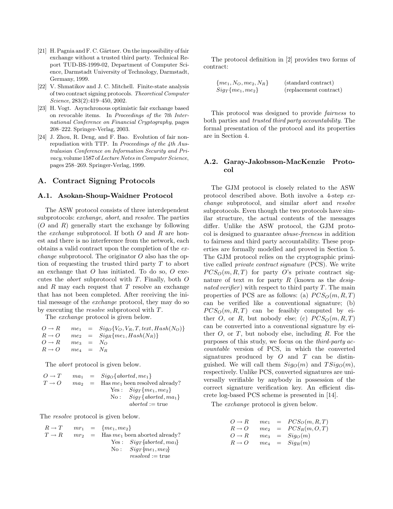- [21] H. Pagnia and F. C. Gärtner. On the impossibility of fair exchange without a trusted third party. Technical Report TUD-BS-1999-02, Department of Computer Science, Darmstadt University of Technology, Darmstadt, Germany, 1999.
- [22] V. Shmatikov and J. C. Mitchell. Finite-state analysis of two contract signing protocols. Theoretical Computer Science, 283(2):419–450, 2002.
- [23] H. Vogt. Asynchronous optimistic fair exchange based on revocable items. In Proceedings of the 7th International Conference on Financial Cryptography, pages 208–222. Springer-Verlag, 2003.
- [24] J. Zhou, R. Deng, and F. Bao. Evolution of fair nonrepudiation with TTP. In Proceedings of the 4th Australasian Conference on Information Security and Privacy, volume 1587 of Lecture Notes in Computer Science, pages 258–269. Springer-Verlag, 1999.

# A. Contract Signing Protocols

#### A.1. Asokan-Shoup-Waidner Protocol

The ASW protocol consists of three interdependent subprotocols: exchange, abort, and resolve. The parties  $(O \text{ and } R)$  generally start the exchange by following the *exchange* subprotocol. If both  $O$  and  $R$  are honest and there is no interference from the network, each obtains a valid contract upon the completion of the ex*change* subprotocol. The originator  $O$  also has the option of requesting the trusted third party T to abort an exchange that  $O$  has initiated. To do so,  $O$  executes the *abort* subprotocol with  $T$ . Finally, both  $O$ and  $R$  may each request that  $T$  resolve an exchange that has not been completed. After receiving the initial message of the exchange protocol, they may do so by executing the resolve subprotocol with T .

The exchange protocol is given below.

 $O \rightarrow R$  me<sub>1</sub> = Sig<sub>O</sub>{V<sub>O</sub>, V<sub>R</sub>, T, text, Hash(N<sub>O</sub>)}  $R \rightarrow O$   $me_2 = Sig_R\{me_1, Hash(N_R)\}$  $O \rightarrow R$  me<sub>3</sub> = N<sub>O</sub>  $R \rightarrow O$   $me_4 = N_R$ 

The abort protocol is given below.

 $O \rightarrow T$  ma<sub>1</sub> = Sig<sub>O</sub>{aborted, me<sub>1</sub>}  $T \rightarrow O$  ma<sub>2</sub> = Has me<sub>1</sub> been resolved already? Yes :  $Sign\{me_1,me_2\}$ No:  $Sig_T \{aborted, ma_1\}$  $aborted := \text{true}$ 

The *resolve* protocol is given below.

| $R \to T$         |  | $mr_1 = \{me_1,me_2\}$ |                                        |
|-------------------|--|------------------------|----------------------------------------|
| $T \rightarrow R$ |  |                        | $mr_2 = Hasme_1$ been aborted already? |
|                   |  |                        | Yes: $Sig_T \{aborted, ma_1\}$         |
|                   |  |                        | No: $Sign\{me_1,me_2\}$                |
|                   |  |                        | $resolved := true$                     |

The protocol definition in [2] provides two forms of contract:

| $\{me_1, N_O, me_2, N_R\}$ | (standard contract)    |
|----------------------------|------------------------|
| $Sign{me_1,me_2\}$         | (replacement contract) |

This protocol was designed to provide fairness to both parties and trusted third party accountability. The formal presentation of the protocol and its properties are in Section 4.

# A.2. Garay-Jakobsson-MacKenzie Protocol

The GJM protocol is closely related to the ASW protocol described above. Both involve a 4-step exchange subprotocol, and similar abort and resolve subprotocols. Even though the two protocols have similar structure, the actual contents of the messages differ. Unlike the ASW protocol, the GJM protocol is designed to guarantee abuse-freeness in addition to fairness and third party accountability. These properties are formally modelled and proved in Section 5. The GJM protocol relies on the cryptographic primitive called private contract signature (PCS). We write  $PCS_O(m, R, T)$  for party O's private contract signature of text m for party R (known as the *desig*nated verifier) with respect to third party  $T$ . The main properties of PCS are as follows: (a)  $PCS_O(m, R, T)$ can be verified like a conventional signature; (b)  $PCS_O(m, R, T)$  can be feasibly computed by either O, or R, but nobody else; (c)  $PCS_O(m, R, T)$ can be converted into a conventional signature by either  $O$ , or  $T$ , but nobody else, including  $R$ . For the purposes of this study, we focus on the third-party accountable version of PCS, in which the converted signatures produced by  $O$  and  $T$  can be distinguished. We will call them  $Sig_O(m)$  and  $TSig_O(m)$ , respectively. Unlike PCS, converted signatures are universally verifiable by anybody in possession of the correct signature verification key. An efficient discrete log-based PCS scheme is presented in [14].

The *exchange* protocol is given below.

$$
O \rightarrow R \qquad me_1 = PCS_O(m, R, T)
$$
  
\n
$$
R \rightarrow O \qquad me_2 = PCS_R(m, O, T)
$$
  
\n
$$
O \rightarrow R \qquad me_3 = Sig_O(m)
$$
  
\n
$$
R \rightarrow O \qquad me_4 = Sig_R(m)
$$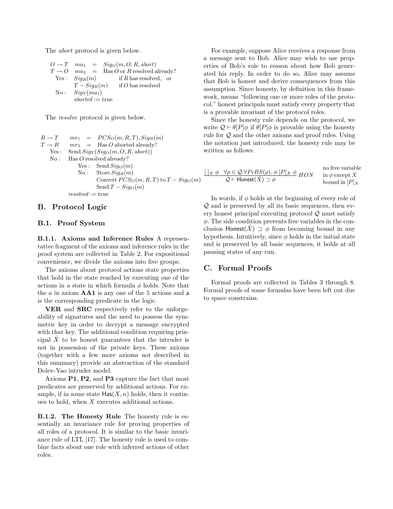The abort protocol is given below.

 $O \rightarrow T$   $ma_1 = SigO(m, O, R, abort)$  $T \rightarrow O$   $ma_2$  = Has O or R resolved already? Yes :  $\quad \text{Sig}_R(m)$  if R has resolved, or  $T-Sig_R(m)$  if O has resolved No:  $Sign(ma_1)$  $aborted := true$ 

The resolve protocol is given below.

$$
R \rightarrow T \qquad mr_1 = PCS_O(m, R, T), Sig_R(m)
$$
  
\n
$$
T \rightarrow R \qquad mr_2 =
$$
 Has *O* aborted already?  
\nYes: Send Sig<sub>T</sub>(Sig<sub>O</sub>(m, O, R, abort))  
\nNo: Has *O* resolved already?  
\nYes: Send Sig<sub>O</sub>(m)  
\nNo: Store Sig<sub>R</sub>(m)  
\nConvert  $PCS_O(m, R, T)$  to  $T - Sig_O(m)$   
\nSend  $T - Sig_O(m)$   
\nresolved := true

# B. Protocol Logic

#### B.1. Proof System

B.1.1. Axioms and Inference Rules A representative fragment of the axioms and inference rules in the proof system are collected in Table 2. For expositional convenience, we divide the axioms into five groups.

The axioms about protocol actions state properties that hold in the state reached by executing one of the actions in a state in which formula  $\phi$  holds. Note that the  $a$  in axiom  $\bf{A41}$  is any one of the 5 actions and a is the corresponding predicate in the logic.

VER and SRC respectively refer to the unforgeability of signatures and the need to possess the symmetric key in order to decrypt a message encrypted with that key. The additional condition requiring principal  $\hat{X}$  to be honest guarantees that the intruder is not in possession of the private keys. These axioms (together with a few more axioms not described in this summary) provide an abstraction of the standard Dolev-Yao intruder model.

Axioms P1, P2, and P3 capture the fact that most predicates are preserved by additional actions. For example, if in some state  $\textsf{Has}(X, n)$  holds, then it continues to hold, when X executes additional actions.

B.1.2. The Honesty Rule The honesty rule is essentially an invariance rule for proving properties of all roles of a protocol. It is similar to the basic invariance rule of LTL [17]. The honesty rule is used to combine facts about one role with inferred actions of other roles.

For example, suppose Alice receives a response from a message sent to Bob. Alice may wish to use properties of Bob's role to reason about how Bob generated his reply. In order to do so, Alice may assume that Bob is honest and derive consequences from this assumption. Since honesty, by definition in this framework, means "following one or more roles of the protocol," honest principals must satisfy every property that is a provable invariant of the protocol roles.

Since the honesty rule depends on the protocol, we write  $Q \vdash \theta[P]\phi$  if  $\theta[P]\phi$  is provable using the honesty rule for Q and the other axioms and proof rules. Using the notation just introduced, the honesty rule may be written as follows.

$$
\begin{array}{ll}\n\left[\begin{array}{ccc}\nx & \phi & \forall \rho \in \mathcal{Q}.\forall P \in BS(\rho). \phi [P] \text{ } x \phi \\
\hline\n\mathcal{Q} \vdash \mathsf{Honest}(\hat{X}) \supset \phi & \text{ } HON \\
\hline\n\end{array}\right] & \text{no free variable} \\
\text{in } \phi \text{ except } X \\
\text{bound in } [P]_X\n\end{array}
$$

In words, if  $\phi$  holds at the beginning of every role of Q and is preserved by all its basic sequences, then every honest principal executing protocol Q must satisfy  $\phi$ . The side condition prevents free variables in the conclusion Honest( $\hat{X}$ )  $\supset \phi$  from becoming bound in any hypothesis. Intuitively, since  $\phi$  holds in the initial state and is preserved by all basic sequences, it holds at all pausing states of any run.

### C. Formal Proofs

Formal proofs are collected in Tables 3 through 8. Formal proofs of some formulas have been left out due to space constrains.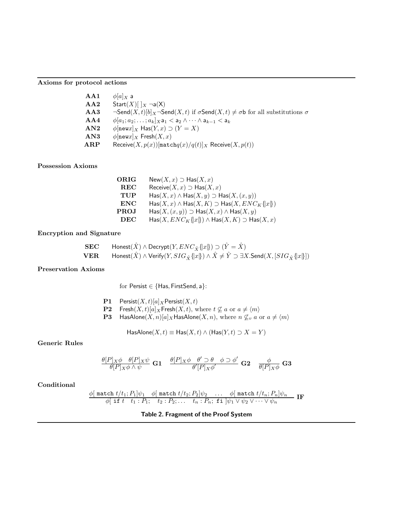# Axioms for protocol actions

| AA1        | $\phi[a]_X$ a                                                                                                                        |
|------------|--------------------------------------------------------------------------------------------------------------------------------------|
| $\bf AA2$  | Start $(X)$ $\vert x \neg a(X) \vert$                                                                                                |
| $\bf{A43}$ | $\neg\mathsf{Send}(X,t)[b]_X\neg\mathsf{Send}(X,t)$ if $\sigma\mathsf{Send}(X,t)\neq\sigma\mathsf{b}$ for all substitutions $\sigma$ |
| $\bf AA4$  | $\phi[a_1; a_2; \ldots; a_k]_X$ a <sub>1</sub> < a <sub>2</sub> $\wedge \cdots \wedge$ a <sub>k-1</sub> < a <sub>k</sub>             |
| $\bf AN2$  | $\phi$ [new $x _X$ Has $(Y, x) \supset (Y = X)$ ]                                                                                    |
| AN3        | $\phi$ [new $x _X$ Fresh $(X, x)$ ]                                                                                                  |
| $\bf{ARP}$ | Receive $(X, p(x))$ [match $q(x)/q(t)$ ] $_X$ Receive $(X, p(t))$                                                                    |
|            |                                                                                                                                      |

### Possession Axioms

| ORIG         | $\mathsf{New}(X,x) \supset \mathsf{Has}(X,x)$                                      |
|--------------|------------------------------------------------------------------------------------|
| $_{\rm REC}$ | Receive $(X, x) \supset \text{Has}(X, x)$                                          |
| TUP          | $\textsf{Has}(X, x) \land \textsf{Has}(X, y) \supset \textsf{Has}(X, (x, y))$      |
| <b>ENC</b>   | $\textsf{Has}(X, x) \land \textsf{Has}(X, K) \supset \textsf{Has}(X, ENC_K\{x\})$  |
| <b>PROJ</b>  | $\textsf{Has}(X,(x,y)) \supset \textsf{Has}(X,x) \wedge \textsf{Has}(X,y)$         |
| DEC          | $\textsf{Has}(X, ENC_K\{x\}) \wedge \textsf{Has}(X, K) \supset \textsf{Has}(X, x)$ |

# Encryption and Signature

|            | <b>SEC</b> Honest $(\hat{X}) \wedge$ Decrypt $(Y, ENC_{\hat{X}}\{ x\}) \supset (\hat{Y} = \hat{X})$                                                         |
|------------|-------------------------------------------------------------------------------------------------------------------------------------------------------------|
| <b>VER</b> | $\mathsf{Honest}(\hat{X}) \land \mathsf{Verify}(Y, SIG_{\hat{X}}\{x\}) \land \hat{X} \neq \hat{Y} \supset \exists X.\mathsf{Send}(X, [SIG_{\hat{X}}\{x\}])$ |

# Preservation Axioms

for Persist  $\in$  {Has, FirstSend, a}:

- P1 Persist $(X, t)[a]_X$ Persist $(X, t)$
- **P2** Fresh $(X, t)[a]_X$ Fresh $(X, t)$ , where  $t \nsubseteq a$  or  $a \neq \langle m \rangle$
- **P3** HasAlone $(X, n)[a]_X$ HasAlone $(X, n)$ , where  $n \nsubseteq v$  a or  $a \neq \langle m \rangle$

$$
\mathsf{HasAlone}(X, t) \equiv \mathsf{Has}(X, t) \land (\mathsf{Has}(Y, t) \supset X = Y)
$$

Generic Rules

$$
\frac{\theta[P]_X\phi \quad \theta[P]_X\psi}{\theta[P]_X\phi \land \psi} \text{ G1} \quad \frac{\theta[P]_X\phi \quad \theta' \supset \theta \quad \phi \supset \phi'}{\theta'[P]_X\phi'} \text{ G2} \quad \frac{\phi}{\theta[P]_X\phi} \text{ G3}
$$

#### Conditional

$$
\frac{\phi[\text{ match } t/t_1; P_1]\psi_1}{\phi[\text{ if } t \quad t_1; P_1; \quad t_2; P_2; \dots \quad t_n; P_n; \text{ if } \psi_1 \vee \psi_2 \vee \dots \vee \psi_n]} \text{ IF}
$$

# Table 2. Fragment of the Proof System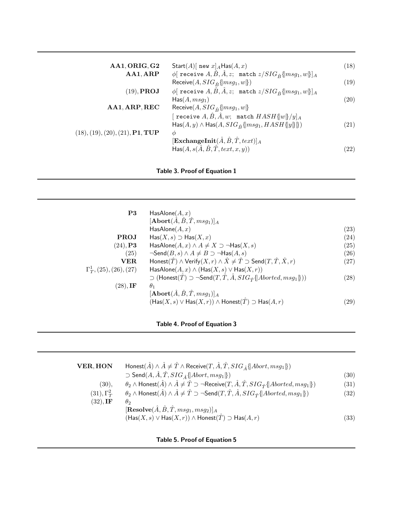| AA1, ORIG, G2                   | Start $(A)$ [ new $x]_A$ Has $(A, x)$ ]                                          | (18) |
|---------------------------------|----------------------------------------------------------------------------------|------|
| AA1, ARP                        | $\phi$ receive $A, \hat{B}, \hat{A}, z$ ; match $z/SIG_{\hat{B}}\{msg_1, w\}]_A$ |      |
|                                 | Receive $(A, SIG_{\hat{B}}\{msg_1, w\})$                                         | (19) |
| $(19)$ , <b>PROJ</b>            | $\phi$ receive $A, \hat{B}, \hat{A}, z$ ; match $z/SIG_{\hat{B}}\{msg_1, w\}]_A$ |      |
|                                 | $\textsf{Has}(A, msg_1)$                                                         | (20) |
| AA1, ARP, REC                   | Receive $(A, SIG_{\hat{B}}\{msg_1, w\})$                                         |      |
|                                 | $[$ receive $A, \hat{B}, \hat{A}, w;$ match $HASH\ w\ /y _A$                     |      |
|                                 | $\textsf{Has}(A, y) \wedge \textsf{Has}(A, SIG_{\hat{B}}\{msg_1, HASH\{\{y\}\})$ | (21) |
| (18), (19), (20), (21), P1, TUP | $\phi$                                                                           |      |
|                                 | $[\textbf{ExchangeInit}(\hat{A}, \hat{B}, \hat{T}, text)]_A$                     |      |
|                                 | $\mathsf{Has}(A, s(\hat{A}, \hat{B}, \hat{T}, text, x, y))$                      | (22) |
|                                 |                                                                                  |      |

# Table 3. Proof of Equation 1

| P3                              | HasAlone $(A, x)$                                                                                               |                    |
|---------------------------------|-----------------------------------------------------------------------------------------------------------------|--------------------|
|                                 | $[\textbf{Abort}(\hat{A}, \hat{B}, \hat{T}, msg_1)]_A$                                                          |                    |
|                                 | HasAlone $(A, x)$                                                                                               | $\left( 23\right)$ |
| <b>PROJ</b>                     | $\textsf{Has}(X, s) \supset \textsf{Has}(X, x)$                                                                 | (24)               |
| (24), P3                        | HasAlone $(A, x) \wedge A \neq X \supset \neg \text{Has}(X, s)$                                                 | (25)               |
| (25)                            | $\neg$ Send $(B, s) \land A \neq B \supset \neg$ Has $(A, s)$                                                   | (26)               |
| VER                             | Honest $(\hat{T}) \wedge$ Verify $(X, r) \wedge \hat{X} \neq \hat{T} \supset$ Send $(T, \hat{T}, \hat{X}, r)$   | (27)               |
| $\Gamma_T^1$ , (25), (26), (27) | HasAlone $(A, x) \wedge (Has(X, s) \vee Has(X, r))$                                                             |                    |
|                                 | $\supset$ (Honest( $\hat{T}$ ) $\supset \neg$ Send( $T, \hat{T}, \hat{A}, SIG_{\hat{T}}\{[Aborted, msg_1]\})$ ) | (28)               |
| $(28),$ IF                      | $\theta_1$                                                                                                      |                    |
|                                 | $[\textbf{Abort}(\hat{A}, \hat{B}, \hat{T}, msg_1)]_A$                                                          |                    |
|                                 | $(\mathsf{Has}(X,s) \lor \mathsf{Has}(X,r)) \land \mathsf{Honest}(\hat{T}) \supset \mathsf{Has}(A,r)$           | (29)               |

# Table 4. Proof of Equation 3

| <b>VER, HON</b>    | Honest $(\hat{A}) \wedge \hat{A} \neq \hat{T} \wedge$ Receive $(T, \hat{A}, \hat{T}, SIG_{\hat{A}} \{ Abort, msg_1\})$                               |      |
|--------------------|------------------------------------------------------------------------------------------------------------------------------------------------------|------|
|                    | $\supset$ Send $(A, \hat{A}, \hat{T}, SIG_{\hat{A}}\{Abort, msg_1\})$                                                                                | (30) |
| (30),              | $\theta_2 \wedge$ Honest $(\hat{A}) \wedge \hat{A} \neq \hat{T} \supset \neg$ Receive $(T, \hat{A}, \hat{T}, SIG_{\hat{T}} \{IAborted, msg_1\})$     | (31) |
| $(31), \Gamma_T^2$ | $\theta_2 \wedge$ Honest $(\hat{A}) \wedge \hat{A} \neq \hat{T} \supset \neg$ Send $(T, \hat{T}, \hat{A}, SIG_{\hat{T}} \{ \text{Aborted}, msg_1\})$ | (32) |
| $(32),$ IF         | $\theta_2$                                                                                                                                           |      |
|                    | $[\mathbf{Resolve}(\hat{A}, \hat{B}, \hat{T}, msg_1, msg_2)]_A$                                                                                      |      |
|                    | $(\mathsf{Has}(X,s) \lor \mathsf{Has}(X,r)) \land \mathsf{Honest}(\hat{T}) \supset \mathsf{Has}(A,r)$                                                | (33) |

Table 5. Proof of Equation 5